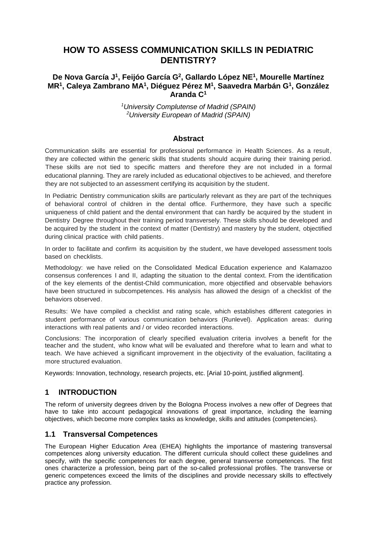# **HOW TO ASSESS COMMUNICATION SKILLS IN PEDIATRIC DENTISTRY?**

### **De Nova García J1, Feijóo García G2, Gallardo López NE1, Mourelle Martínez MR1, Caleya Zambrano MA1, Diéguez Pérez M1, Saavedra Marbán G1, González Aranda C1**

*1 University Complutense of Madrid (SPAIN) 2 University European of Madrid (SPAIN)*

#### **Abstract**

Communication skills are essential for professional performance in Health Sciences. As a result, they are collected within the generic skills that students should acquire during their training period. These skills are not tied to specific matters and therefore they are not included in a formal educational planning. They are rarely included as educational objectives to be achieved, and therefore they are not subjected to an assessment certifying its acquisition by the student.

In Pediatric Dentistry communication skills are particularly relevant as they are part of the techniques of behavioral control of children in the dental office. Furthermore, they have such a specific uniqueness of child patient and the dental environment that can hardly be acquired by the student in Dentistry Degree throughout their training period transversely. These skills should be developed and be acquired by the student in the context of matter (Dentistry) and mastery by the student. objectified during clinical practice with child patients.

In order to facilitate and confirm its acquisition by the student, we have developed assessment tools based on checklists.

Methodology: we have relied on the Consolidated Medical Education experience and Kalamazoo consensus conferences I and II, adapting the situation to the dental context. From the identification of the key elements of the dentist-Child communication, more objectified and observable behaviors have been structured in subcompetences. His analysis has allowed the design of a checklist of the behaviors observed.

Results: We have compiled a checklist and rating scale, which establishes different categories in student performance of various communication behaviors (Runlevel). Application areas: during interactions with real patients and / or video recorded interactions.

Conclusions: The incorporation of clearly specified evaluation criteria involves a benefit for the teacher and the student, who know what will be evaluated and therefore what to learn and what to teach. We have achieved a significant improvement in the objectivity of the evaluation, facilitating a more structured evaluation.

Keywords: Innovation, technology, research projects, etc. [Arial 10-point, justified alignment].

## **1 INTRODUCTION**

The reform of university degrees driven by the Bologna Process involves a new offer of Degrees that have to take into account pedagogical innovations of great importance, including the learning objectives, which become more complex tasks as knowledge, skills and attitudes (competencies).

#### **1.1 Transversal Competences**

The European Higher Education Area (EHEA) highlights the importance of mastering transversal competences along university education. The different curricula should collect these guidelines and specify, with the specific competences for each degree, general transverse competences. The first ones characterize a profession, being part of the so-called professional profiles. The transverse or generic competences exceed the limits of the disciplines and provide necessary skills to effectively practice any profession.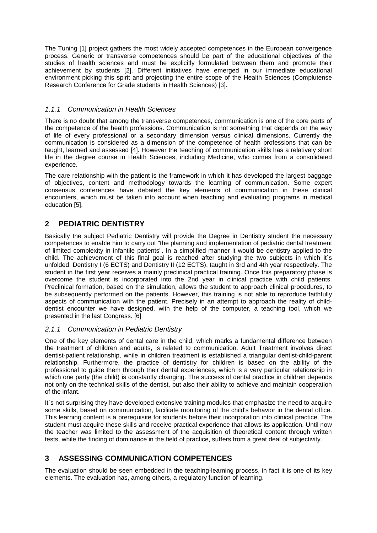The Tuning [1] project gathers the most widely accepted competences in the European convergence process. Generic or transverse competences should be part of the educational objectives of the studies of health sciences and must be explicitly formulated between them and promote their achievement by students [2]. Different initiatives have emerged in our immediate educational environment picking this spirit and projecting the entire scope of the Health Sciences (Complutense Research Conference for Grade students in Health Sciences) [3].

#### *1.1.1 Communication in Health Sciences*

There is no doubt that among the transverse competences, communication is one of the core parts of the competence of the health professions. Communication is not something that depends on the way of life of every professional or a secondary dimension versus clinical dimensions. Currently the communication is considered as a dimension of the competence of health professions that can be taught, learned and assessed [4]. However the teaching of communication skills has a relatively short life in the degree course in Health Sciences, including Medicine, who comes from a consolidated experience.

The care relationship with the patient is the framework in which it has developed the largest baggage of objectives, content and methodology towards the learning of communication. Some expert consensus conferences have debated the key elements of communication in these clinical encounters, which must be taken into account when teaching and evaluating programs in medical education [5].

## **2 PEDIATRIC DENTISTRY**

Basically the subject Pediatric Dentistry will provide the Degree in Dentistry student the necessary competences to enable him to carry out "the planning and implementation of pediatric dental treatment of limited complexity in infantile patients". In a simplified manner it would be dentistry applied to the child. The achievement of this final goal is reached after studying the two subjects in which it´s unfolded: Dentistry I (6 ECTS) and Dentistry II (12 ECTS), taught in 3rd and 4th year respectively. The student in the first year receives a mainly preclinical practical training. Once this preparatory phase is overcome the student is incorporated into the 2nd year in clinical practice with child patients. Preclinical formation, based on the simulation, allows the student to approach clinical procedures, to be subsequently performed on the patients. However, this training is not able to reproduce faithfully aspects of communication with the patient. Precisely in an attempt to approach the reality of childdentist encounter we have designed, with the help of the computer, a teaching tool, which we presented in the last Congress. [6]

#### *2.1.1 Communication in Pediatric Dentistry*

One of the key elements of dental care in the child, which marks a fundamental difference between the treatment of children and adults, is related to communication. Adult Treatment involves direct dentist-patient relationship, while in children treatment is established a triangular dentist-child-parent relationship. Furthermore, the practice of dentistry for children is based on the ability of the professional to guide them through their dental experiences, which is a very particular relationship in which one party (the child) is constantly changing. The success of dental practice in children depends not only on the technical skills of the dentist, but also their ability to achieve and maintain cooperation of the infant.

It´s not surprising they have developed extensive training modules that emphasize the need to acquire some skills, based on communication, facilitate monitoring of the child's behavior in the dental office. This learning content is a prerequisite for students before their incorporation into clinical practice. The student must acquire these skills and receive practical experience that allows its application. Until now the teacher was limited to the assessment of the acquisition of theoretical content through written tests, while the finding of dominance in the field of practice, suffers from a great deal of subjectivity.

# **3 ASSESSING COMMUNICATION COMPETENCES**

The evaluation should be seen embedded in the teaching-learning process, in fact it is one of its key elements. The evaluation has, among others, a regulatory function of learning.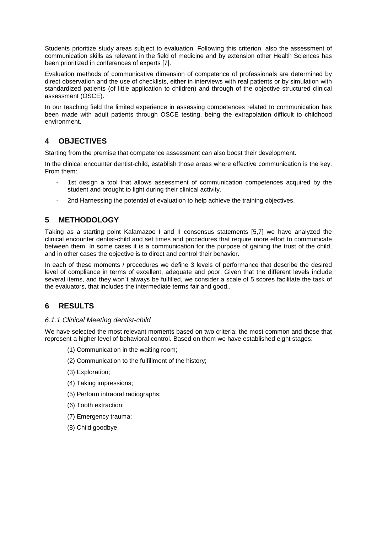Students prioritize study areas subject to evaluation. Following this criterion, also the assessment of communication skills as relevant in the field of medicine and by extension other Health Sciences has been prioritized in conferences of experts [7].

Evaluation methods of communicative dimension of competence of professionals are determined by direct observation and the use of checklists, either in interviews with real patients or by simulation with standardized patients (of little application to children) and through of the objective structured clinical assessment (OSCE).

In our teaching field the limited experience in assessing competences related to communication has been made with adult patients through OSCE testing, being the extrapolation difficult to childhood environment.

## **4 OBJECTIVES**

Starting from the premise that competence assessment can also boost their development.

In the clinical encounter dentist-child, establish those areas where effective communication is the key. From them:

- 1st design a tool that allows assessment of communication competences acquired by the student and brought to light during their clinical activity.
- 2nd Harnessing the potential of evaluation to help achieve the training objectives.

# **5 METHODOLOGY**

Taking as a starting point Kalamazoo I and II consensus statements [5,7] we have analyzed the clinical encounter dentist-child and set times and procedures that require more effort to communicate between them. In some cases it is a communication for the purpose of gaining the trust of the child, and in other cases the objective is to direct and control their behavior.

In each of these moments / procedures we define 3 levels of performance that describe the desired level of compliance in terms of excellent, adequate and poor. Given that the different levels include several items, and they won´t always be fulfilled, we consider a scale of 5 scores facilitate the task of the evaluators, that includes the intermediate terms fair and good..

# **6 RESULTS**

#### *6.1.1 Clinical Meeting dentist-child*

We have selected the most relevant moments based on two criteria: the most common and those that represent a higher level of behavioral control. Based on them we have established eight stages:

- (1) Communication in the waiting room;
- (2) Communication to the fulfillment of the history;
- (3) Exploration;
- (4) Taking impressions;
- (5) Perform intraoral radiographs;
- (6) Tooth extraction;
- (7) Emergency trauma;
- (8) Child goodbye.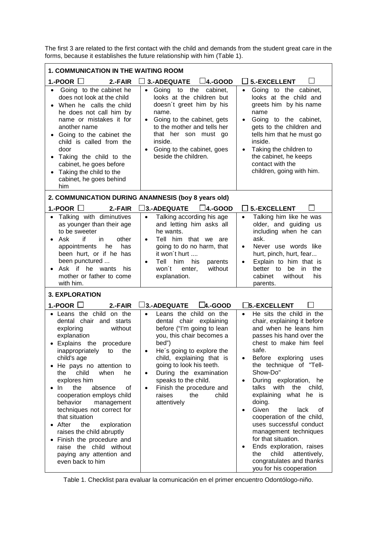The first 3 are related to the first contact with the child and demands from the student great care in the forms, because it establishes the future relationship with him (Table 1).

| <b>1. COMMUNICATION IN THE WAITING ROOM</b>                                                                                                                                                                                                                                                                                                                                                                                                                                                                                                            |                                                                                                                                                                                                                                                                                                                                                                                        |                                                                                                                                                                                                                                                                                                                                                                                                                                                                                                                                                                                                                                                |  |  |
|--------------------------------------------------------------------------------------------------------------------------------------------------------------------------------------------------------------------------------------------------------------------------------------------------------------------------------------------------------------------------------------------------------------------------------------------------------------------------------------------------------------------------------------------------------|----------------------------------------------------------------------------------------------------------------------------------------------------------------------------------------------------------------------------------------------------------------------------------------------------------------------------------------------------------------------------------------|------------------------------------------------------------------------------------------------------------------------------------------------------------------------------------------------------------------------------------------------------------------------------------------------------------------------------------------------------------------------------------------------------------------------------------------------------------------------------------------------------------------------------------------------------------------------------------------------------------------------------------------------|--|--|
| 1.-POOR $\Box$<br>2.-FAIR                                                                                                                                                                                                                                                                                                                                                                                                                                                                                                                              | $\Box$ 3.-ADEQUATE<br>$\Box$ 4.-GOOD                                                                                                                                                                                                                                                                                                                                                   | $\Box$ 5.-EXCELLENT                                                                                                                                                                                                                                                                                                                                                                                                                                                                                                                                                                                                                            |  |  |
| Going to the cabinet he<br>$\bullet$<br>does not look at the child<br>When he calls the child<br>he does not call him by<br>name or mistakes it for<br>another name<br>Going to the cabinet the<br>child is called from the<br>door<br>Taking the child to the<br>cabinet, he goes before<br>Taking the child to the<br>cabinet, he goes behind<br>him                                                                                                                                                                                                 | Going to the<br>cabinet,<br>$\bullet$<br>looks at the children but<br>doesn't greet him by his<br>name.<br>Going to the cabinet, gets<br>$\bullet$<br>to the mother and tells her<br>that her son must go<br>inside.<br>Going to the cabinet, goes<br>$\bullet$<br>beside the children.                                                                                                | Going to the cabinet,<br>$\bullet$<br>looks at the child and<br>greets him by his name<br>name<br>Going to the cabinet,<br>$\bullet$<br>gets to the children and<br>tells him that he must go<br>inside.<br>Taking the children to<br>$\bullet$<br>the cabinet, he keeps<br>contact with the<br>children, going with him.                                                                                                                                                                                                                                                                                                                      |  |  |
|                                                                                                                                                                                                                                                                                                                                                                                                                                                                                                                                                        | 2. COMMUNICATION DURING ANAMNESIS (boy 8 years old)                                                                                                                                                                                                                                                                                                                                    |                                                                                                                                                                                                                                                                                                                                                                                                                                                                                                                                                                                                                                                |  |  |
| 1.-POOR $\Box$<br>2.-FAIR                                                                                                                                                                                                                                                                                                                                                                                                                                                                                                                              | $\square$ 4.-GOOD<br>$\Box$ 3.-ADEQUATE                                                                                                                                                                                                                                                                                                                                                | $\Box$ 5.-EXCELLENT                                                                                                                                                                                                                                                                                                                                                                                                                                                                                                                                                                                                                            |  |  |
| • Talking with diminutives<br>as younger than their age<br>to be sweeter<br>if<br>Ask<br>in<br>other<br>$\bullet$<br>he<br>appointments<br>has<br>been hurt, or if he has<br>been punctured<br>Ask if he wants<br>his<br>mother or father to come<br>with him.                                                                                                                                                                                                                                                                                         | Talking according his age<br>$\bullet$<br>and letting him asks all<br>he wants.<br>Tell him that we are<br>$\bullet$<br>going to do no harm, that<br>it won't hurt<br>Tell<br>him<br>his<br>parents<br>$\bullet$<br>won't<br>without<br>enter,<br>explanation.                                                                                                                         | Talking him like he was<br>$\bullet$<br>older, and guiding us<br>including when he can<br>ask.<br>Never use words like<br>$\bullet$<br>hurt, pinch, hurt, fear<br>Explain to him that is<br>$\bullet$<br>better to<br>be<br>in<br>the<br>cabinet<br>without<br>his<br>parents.                                                                                                                                                                                                                                                                                                                                                                 |  |  |
| <b>3. EXPLORATION</b>                                                                                                                                                                                                                                                                                                                                                                                                                                                                                                                                  |                                                                                                                                                                                                                                                                                                                                                                                        |                                                                                                                                                                                                                                                                                                                                                                                                                                                                                                                                                                                                                                                |  |  |
| 1.-POOR $\Box$<br>2.-FAIR                                                                                                                                                                                                                                                                                                                                                                                                                                                                                                                              | $\Box$ 3.-ADEQUATE<br>$\Box$ 4.-GOOD                                                                                                                                                                                                                                                                                                                                                   | <b>5.-EXCELLENT</b>                                                                                                                                                                                                                                                                                                                                                                                                                                                                                                                                                                                                                            |  |  |
| Leans the child on the<br>dental chair<br>and starts<br>without<br>exploring<br>explanation<br>Explains the procedure<br>inappropriately<br>the<br>to<br>child's age<br>He pays no attention to<br>child<br>when<br>the<br>he<br>explores him<br>the<br>absence<br>In.<br>of<br>cooperation employs child<br>behavior<br>management<br>techniques not correct for<br>that situation<br>After<br>the<br>exploration<br>raises the child abruptly<br>Finish the procedure and<br>raise the child without<br>paying any attention and<br>even back to him | Leans the child on the<br>$\bullet$<br>dental chair explaining<br>before ("I'm going to lean<br>you, this chair becomes a<br>bed")<br>He's going to explore the<br>$\bullet$<br>child, explaining that is<br>going to look his teeth.<br>During the examination<br>$\bullet$<br>speaks to the child.<br>Finish the procedure and<br>$\bullet$<br>raises<br>the<br>child<br>attentively | He sits the child in the<br>$\bullet$<br>chair, explaining it before<br>and when he leans him<br>passes his hand over the<br>chest to make him feel<br>safe.<br>Before exploring<br>$\bullet$<br>uses<br>the technique of "Tell-<br>Show-Do"<br>During exploration, he<br>$\bullet$<br>with<br>child,<br>talks<br>the<br>explaining what<br>he is<br>doing.<br>Given<br>the<br>lack<br>0f<br>$\bullet$<br>cooperation of the child,<br>uses successful conduct<br>management techniques<br>for that situation.<br>Ends exploration, raises<br>$\bullet$<br>child<br>attentively,<br>the<br>congratulates and thanks<br>you for his cooperation |  |  |

Table 1. Checklist para evaluar la comunicación en el primer encuentro Odontólogo-niño.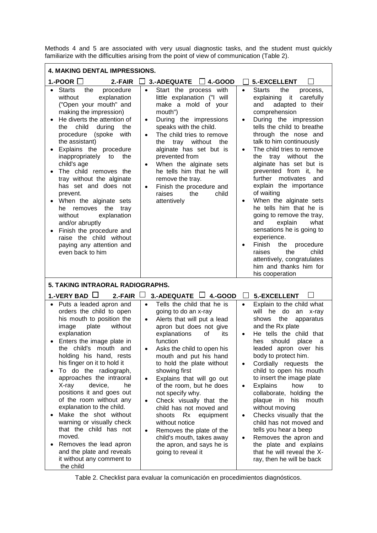Methods 4 and 5 are associated with very usual diagnostic tasks, and the student must quickly familiarize with the difficulties arising from the point of view of communication (Table 2).

| <b>4. MAKING DENTAL IMPRESSIONS.</b>                                                                                                                                                                                                                                                                                                                                                                                                                                                                                                                                                                        |                                                                                                                                                                                                                                                                                                                                                                                                                                                                                                                                                                                                                                         |                                                                                                                                                                                                                                                                                                                                                                                                                                                                                                                                                                                                                                                                                                                                                                    |  |  |
|-------------------------------------------------------------------------------------------------------------------------------------------------------------------------------------------------------------------------------------------------------------------------------------------------------------------------------------------------------------------------------------------------------------------------------------------------------------------------------------------------------------------------------------------------------------------------------------------------------------|-----------------------------------------------------------------------------------------------------------------------------------------------------------------------------------------------------------------------------------------------------------------------------------------------------------------------------------------------------------------------------------------------------------------------------------------------------------------------------------------------------------------------------------------------------------------------------------------------------------------------------------------|--------------------------------------------------------------------------------------------------------------------------------------------------------------------------------------------------------------------------------------------------------------------------------------------------------------------------------------------------------------------------------------------------------------------------------------------------------------------------------------------------------------------------------------------------------------------------------------------------------------------------------------------------------------------------------------------------------------------------------------------------------------------|--|--|
| 1.-POOR $\Box$<br>2.-FAIR                                                                                                                                                                                                                                                                                                                                                                                                                                                                                                                                                                                   | <b>3.-ADEQUATE</b><br>$\Box$ 4.-GOOD                                                                                                                                                                                                                                                                                                                                                                                                                                                                                                                                                                                                    | 5.-EXCELLENT                                                                                                                                                                                                                                                                                                                                                                                                                                                                                                                                                                                                                                                                                                                                                       |  |  |
| <b>Starts</b><br>procedure<br>the<br>explanation<br>without<br>("Open your mouth" and<br>making the impression)<br>He diverts the attention of<br>child<br>during<br>the<br>the<br>with<br>procedure<br>(spoke<br>the assistant)<br>Explains the procedure<br>inappropriately<br>to<br>the<br>child's age<br>The child removes the<br>tray without the alginate<br>has set and does not<br>prevent.<br>When the alginate sets<br>he removes the<br>tray<br>without<br>explanation<br>and/or abruptly<br>Finish the procedure and<br>raise the child without<br>paying any attention and<br>even back to him | Start the process with<br>$\bullet$<br>little explanation ("I will<br>make a mold of your<br>mouth")<br>During the impressions<br>$\bullet$<br>speaks with the child.<br>The child tries to remove<br>$\bullet$<br>tray without<br>the<br>the<br>alginate has set but is<br>prevented from<br>When the alginate sets<br>$\bullet$<br>he tells him that he will<br>remove the tray.<br>Finish the procedure and<br>$\bullet$<br>the<br>raises<br>child<br>attentively                                                                                                                                                                    | <b>Starts</b><br>the<br>process,<br>$\bullet$<br>explaining it<br>carefully<br>adapted to their<br>and<br>comprehension<br>During the impression<br>$\bullet$<br>tells the child to breathe<br>through the nose and<br>talk to him continuously<br>The child tries to remove<br>$\bullet$<br>tray without the<br>the.<br>alginate has set but is<br>prevented from it, he<br>further motivates<br>and<br>explain the importance<br>of waiting<br>When the alginate sets<br>$\bullet$<br>he tells him that he is<br>going to remove the tray,<br>explain<br>and<br>what<br>sensations he is going to<br>experience.<br>Finish<br>the<br>procedure<br>$\bullet$<br>the<br>child<br>raises<br>attentively, congratulates<br>him and thanks him for<br>his cooperation |  |  |
| 5. TAKING INTRAORAL RADIOGRAPHS.                                                                                                                                                                                                                                                                                                                                                                                                                                                                                                                                                                            |                                                                                                                                                                                                                                                                                                                                                                                                                                                                                                                                                                                                                                         |                                                                                                                                                                                                                                                                                                                                                                                                                                                                                                                                                                                                                                                                                                                                                                    |  |  |
| 1.-VERY BAD $\Box$<br>2.-FAIR                                                                                                                                                                                                                                                                                                                                                                                                                                                                                                                                                                               | 3.-ADEQUATE $\Box$ 4.-GOOD                                                                                                                                                                                                                                                                                                                                                                                                                                                                                                                                                                                                              | 5.-EXCELLENT                                                                                                                                                                                                                                                                                                                                                                                                                                                                                                                                                                                                                                                                                                                                                       |  |  |
| Puts a leaded apron and<br>$\bullet$<br>orders the child to open<br>his mouth to position the<br>plate<br>without<br>image<br>explanation<br>Enters the image plate in<br>the child's mouth and<br>holding his hand, rests<br>his finger on it to hold it<br>To do the radiograph,<br>approaches the intraoral<br>X-ray<br>device,<br>he<br>positions it and goes out<br>of the room without any<br>explanation to the child.<br>Make the shot without<br>warning or visually check<br>that the child has not<br>moved.<br>Removes the lead apron<br>and the plate and reveals                              | Tells the child that he is<br>$\bullet$<br>going to do an x-ray<br>Alerts that will put a lead<br>$\bullet$<br>apron but does not give<br>explanations<br>οf<br>its<br>function<br>Asks the child to open his<br>$\bullet$<br>mouth and put his hand<br>to hold the plate without<br>showing first<br>Explains that will go out<br>$\bullet$<br>of the room, but he does<br>not specify why.<br>Check visually that the<br>$\bullet$<br>child has not moved and<br>shoots<br>Rx<br>equipment<br>without notice<br>Removes the plate of the<br>$\bullet$<br>child's mouth, takes away<br>the apron, and says he is<br>going to reveal it | Explain to the child what<br>$\bullet$<br>will he<br>do<br>an<br>x-ray<br>the<br>shows<br>apparatus<br>and the Rx plate<br>He tells the child that<br>should<br>place<br>hes<br>a<br>leaded apron over his<br>body to protect him.<br>Cordially requests the<br>$\bullet$<br>child to open his mouth<br>to insert the image plate<br><b>Explains</b><br>how<br>to<br>$\bullet$<br>collaborate, holding the<br>plaque in<br>his<br>mouth<br>without moving<br>Checks visually that the<br>$\bullet$<br>child has not moved and<br>tells you hear a beep<br>Removes the apron and<br>$\bullet$<br>the plate and explains<br>that he will reveal the X-                                                                                                               |  |  |

Table 2. Checklist para evaluar la comunicación en procedimientos diagnósticos.

ray, then he will be back

it without any comment to

the child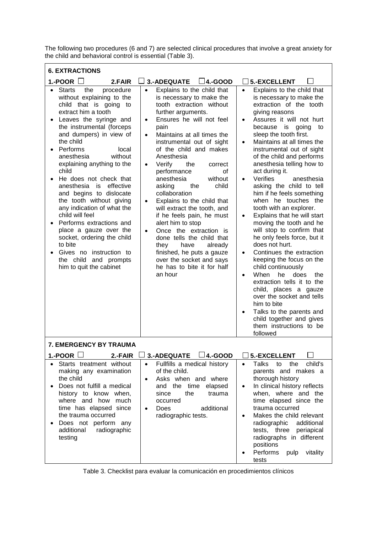The following two procedures (6 and 7) are selected clinical procedures that involve a great anxiety for the child and behavioral control is essential (Table 3).

| <b>6. EXTRACTIONS</b>                                                                                                                                                                                                                                                                                                                                                                                                                                                                                                                                                                                                                                                                                    |                                                                                                                                                                                                                                                                                                                                                                                                                                                                                                                                                                                                                                                                                                                                                       |                                                                                                                                                                                                                                                                                                                                                                                                                                                                                                                                                                                                                                                                                                                                                                                                                                                                                                                                                                                                                        |
|----------------------------------------------------------------------------------------------------------------------------------------------------------------------------------------------------------------------------------------------------------------------------------------------------------------------------------------------------------------------------------------------------------------------------------------------------------------------------------------------------------------------------------------------------------------------------------------------------------------------------------------------------------------------------------------------------------|-------------------------------------------------------------------------------------------------------------------------------------------------------------------------------------------------------------------------------------------------------------------------------------------------------------------------------------------------------------------------------------------------------------------------------------------------------------------------------------------------------------------------------------------------------------------------------------------------------------------------------------------------------------------------------------------------------------------------------------------------------|------------------------------------------------------------------------------------------------------------------------------------------------------------------------------------------------------------------------------------------------------------------------------------------------------------------------------------------------------------------------------------------------------------------------------------------------------------------------------------------------------------------------------------------------------------------------------------------------------------------------------------------------------------------------------------------------------------------------------------------------------------------------------------------------------------------------------------------------------------------------------------------------------------------------------------------------------------------------------------------------------------------------|
| 1.-POOR $\Box$<br>2.FAIR                                                                                                                                                                                                                                                                                                                                                                                                                                                                                                                                                                                                                                                                                 | 3.-ADEQUATE<br>$\Box$ 4.-GOOD                                                                                                                                                                                                                                                                                                                                                                                                                                                                                                                                                                                                                                                                                                                         | 5.-EXCELLENT                                                                                                                                                                                                                                                                                                                                                                                                                                                                                                                                                                                                                                                                                                                                                                                                                                                                                                                                                                                                           |
| <b>Starts</b><br>procedure<br>the<br>$\bullet$<br>without explaining to the<br>child that is going to<br>extract him a tooth<br>Leaves the syringe and<br>$\bullet$<br>the instrumental (forceps<br>and dumpers) in view of<br>the child<br>Performs<br>local<br>$\bullet$<br>anesthesia<br>without<br>explaining anything to the<br>child<br>He does not check that<br>$\bullet$<br>effective<br>anesthesia<br>is<br>and begins to dislocate<br>the tooth without giving<br>any indication of what the<br>child will feel<br>Performs extractions and<br>place a gauze over the<br>socket, ordering the child<br>to bite<br>Gives no instruction to<br>the child and prompts<br>him to quit the cabinet | $\bullet$<br>Explains to the child that<br>is necessary to make the<br>tooth extraction without<br>further arguments.<br>Ensures he will not feel<br>$\bullet$<br>pain<br>Maintains at all times the<br>$\bullet$<br>instrumental out of sight<br>of the child and makes<br>Anesthesia<br>Verify<br>the<br>correct<br>$\bullet$<br>performance<br>οf<br>anesthesia<br>without<br>the<br>child<br>asking<br>collaboration<br>Explains to the child that<br>$\bullet$<br>will extract the tooth, and<br>if he feels pain, he must<br>alert him to stop<br>Once the extraction is<br>$\bullet$<br>done tells the child that<br>they<br>have<br>already<br>finished, he puts a gauze<br>over the socket and says<br>he has to bite it for half<br>an hour | Explains to the child that<br>$\bullet$<br>is necessary to make the<br>extraction of the tooth<br>giving reasons<br>Assures it will not hurt<br>$\bullet$<br>because is going to<br>sleep the tooth first.<br>Maintains at all times the<br>$\bullet$<br>instrumental out of sight<br>of the child and performs<br>anesthesia telling how to<br>act during it.<br>Verifies<br>anesthesia<br>$\bullet$<br>asking the child to tell<br>him if he feels something<br>when he touches the<br>tooth with an explorer.<br>Explains that he will start<br>$\bullet$<br>moving the tooth and he<br>will stop to confirm that<br>he only feels force, but it<br>does not hurt.<br>Continues the extraction<br>$\bullet$<br>keeping the focus on the<br>child continuously<br>he does<br>When<br>the<br>$\bullet$<br>extraction tells it to the<br>child, places a gauze<br>over the socket and tells<br>him to bite<br>Talks to the parents and<br>$\bullet$<br>child together and gives<br>them instructions to be<br>followed |
| 7. EMERGENCY BY TRAUMA                                                                                                                                                                                                                                                                                                                                                                                                                                                                                                                                                                                                                                                                                   |                                                                                                                                                                                                                                                                                                                                                                                                                                                                                                                                                                                                                                                                                                                                                       |                                                                                                                                                                                                                                                                                                                                                                                                                                                                                                                                                                                                                                                                                                                                                                                                                                                                                                                                                                                                                        |
| 1.-POOR $\Box$<br>2.-FAIR                                                                                                                                                                                                                                                                                                                                                                                                                                                                                                                                                                                                                                                                                | <b>3.-ADEQUATE</b><br>$\Box$ 4.-GOOD                                                                                                                                                                                                                                                                                                                                                                                                                                                                                                                                                                                                                                                                                                                  | 5.-EXCELLENT                                                                                                                                                                                                                                                                                                                                                                                                                                                                                                                                                                                                                                                                                                                                                                                                                                                                                                                                                                                                           |
| Starts treatment without<br>making any examination<br>the child<br>Does not fulfill a medical<br>$\bullet$<br>history to know when,<br>where and how much<br>time has elapsed since<br>the trauma occurred<br>Does not perform any<br>radiographic<br>additional<br>testing                                                                                                                                                                                                                                                                                                                                                                                                                              | Fullfills a medical history<br>$\bullet$<br>of the child.<br>Asks when and where<br>$\bullet$<br>and the time<br>elapsed<br>the<br>since<br>trauma<br>occurred<br>additional<br><b>Does</b><br>$\bullet$<br>radiographic tests.                                                                                                                                                                                                                                                                                                                                                                                                                                                                                                                       | <b>Talks</b><br>child's<br>the<br>to<br>$\bullet$<br>parents and makes a<br>thorough history<br>In clinical history reflects<br>when, where and the<br>time elapsed since the<br>trauma occurred<br>Makes the child relevant<br>radiographic<br>additional<br>tests, three<br>periapical<br>radiographs in different<br>positions<br>Performs<br>vitality<br>pulp<br>tests                                                                                                                                                                                                                                                                                                                                                                                                                                                                                                                                                                                                                                             |

Table 3. Checklist para evaluar la comunicación en procedimientos clínicos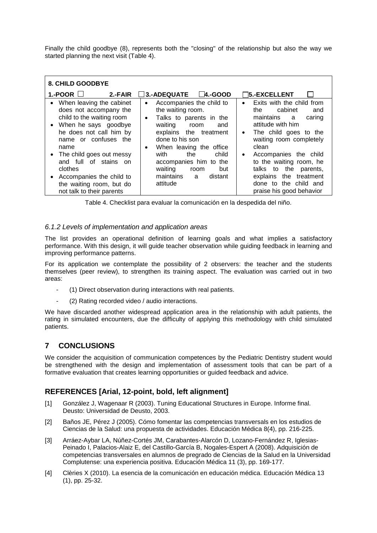Finally the child goodbye (8), represents both the "closing" of the relationship but also the way we started planning the next visit (Table 4).

| <b>8. CHILD GOODBYE</b>                                                                                                                                                                                                                                                                                                                  |                                                                                                                                                                                                                                                                                                                  |                                                                                                                                                                                                                                                                                                                                                                  |
|------------------------------------------------------------------------------------------------------------------------------------------------------------------------------------------------------------------------------------------------------------------------------------------------------------------------------------------|------------------------------------------------------------------------------------------------------------------------------------------------------------------------------------------------------------------------------------------------------------------------------------------------------------------|------------------------------------------------------------------------------------------------------------------------------------------------------------------------------------------------------------------------------------------------------------------------------------------------------------------------------------------------------------------|
| 1.-POOR $\Box$<br>2.-FAIR                                                                                                                                                                                                                                                                                                                | $\Box$ 3.-ADEQUATE $\Box$ 4.-GOOD                                                                                                                                                                                                                                                                                | 75.-EXCELLENT                                                                                                                                                                                                                                                                                                                                                    |
| When leaving the cabinet<br>$\bullet$<br>does not accompany the<br>child to the waiting room<br>• When he says goodbye<br>he does not call him by<br>name or confuses the<br>name<br>• The child goes out messy<br>and full of stains on<br>clothes<br>Accompanies the child to<br>the waiting room, but do<br>not talk to their parents | Accompanies the child to<br>٠<br>the waiting room.<br>Talks to parents in the<br>$\bullet$<br>waiting room<br>and<br>explains the treatment<br>done to his son<br>When leaving the office<br>٠<br>the<br>child<br>with<br>accompanies him to the<br>waiting<br>but<br>room<br>maintains a<br>distant<br>attitude | Exits with the child from<br>$\bullet$<br>cabinet<br>the<br>and<br>maintains a<br>caring<br>attitude with him<br>The child goes to the<br>$\bullet$<br>waiting room completely<br>clean<br>Accompanies the child<br>$\bullet$<br>to the waiting room, he<br>talks to the parents,<br>explains the treatment<br>done to the child and<br>praise his good behavior |

Table 4. Checklist para evaluar la comunicación en la despedida del niño.

#### *6.1.2 Levels of implementation and application areas*

The list provides an operational definition of learning goals and what implies a satisfactory performance. With this design, it will guide teacher observation while guiding feedback in learning and improving performance patterns.

For its application we contemplate the possibility of 2 observers: the teacher and the students themselves (peer review), to strengthen its training aspect. The evaluation was carried out in two areas:

- (1) Direct observation during interactions with real patients.
- (2) Rating recorded video / audio interactions.

We have discarded another widespread application area in the relationship with adult patients, the rating in simulated encounters, due the difficulty of applying this methodology with child simulated patients.

## **7 CONCLUSIONS**

We consider the acquisition of communication competences by the Pediatric Dentistry student would be strengthened with the design and implementation of assessment tools that can be part of a formative evaluation that creates learning opportunities or guided feedback and advice.

## **REFERENCES [Arial, 12-point, bold, left alignment]**

- [1] González J, Wagenaar R (2003). Tuning Educational Structures in Europe. Informe final. Deusto: Universidad de Deusto, 2003.
- [2] Baños JE, Pérez J (2005). Cómo fomentar las competencias transversals en los estudios de Ciencias de la Salud: una propuesta de actividades. Educación Médica 8(4), pp. 216-225.
- [3] Arráez-Aybar LA, Núñez-Cortés JM, Carabantes-Alarcón D, Lozano-Fernández R, Iglesias-Peinado I, Palacios-Alaiz E, del Castillo-García B, Nogales-Espert A (2008). Adquisición de competencias transversales en alumnos de pregrado de Ciencias de la Salud en la Universidad Complutense: una experiencia positiva. Educación Médica 11 (3), pp. 169-177.
- [4] Clèries X (2010). La esencia de la comunicación en educación médica. Educación Médica 13 (1), pp. 25-32.